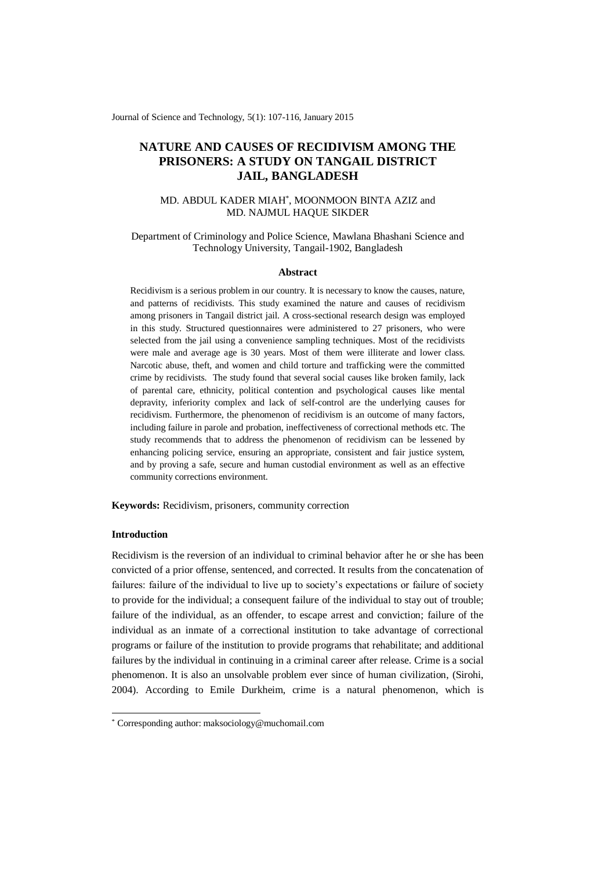Journal of Science and Technology, 5(1): 107-116, January 2015

# **NATURE AND CAUSES OF RECIDIVISM AMONG THE PRISONERS: A STUDY ON TANGAIL DISTRICT JAIL, BANGLADESH**

# MD. ABDUL KADER MIAH\* , MOONMOON BINTA AZIZ and MD. NAJMUL HAQUE SIKDER

## Department of Criminology and Police Science, Mawlana Bhashani Science and Technology University, Tangail-1902, Bangladesh

### **Abstract**

Recidivism is a serious problem in our country. It is necessary to know the causes, nature, and patterns of recidivists. This study examined the nature and causes of recidivism among prisoners in Tangail district jail. A cross-sectional research design was employed in this study. Structured questionnaires were administered to 27 prisoners, who were selected from the jail using a convenience sampling techniques. Most of the recidivists were male and average age is 30 years. Most of them were illiterate and lower class. Narcotic abuse, theft, and women and child torture and trafficking were the committed crime by recidivists. The study found that several social causes like broken family, lack of parental care, ethnicity, political contention and psychological causes like mental depravity, inferiority complex and lack of self-control are the underlying causes for recidivism. Furthermore, the phenomenon of recidivism is an outcome of many factors, including failure in parole and probation, ineffectiveness of correctional methods etc. The study recommends that to address the phenomenon of recidivism can be lessened by enhancing policing service, ensuring an appropriate, consistent and fair justice system, and by proving a safe, secure and human custodial environment as well as an effective community corrections environment.

**Keywords:** Recidivism, prisoners, community correction

# **Introduction**

-

Recidivism is the reversion of an individual to criminal behavior after he or she has been convicted of a prior offense, sentenced, and corrected. It results from the concatenation of failures: failure of the individual to live up to society's expectations or failure of society to provide for the individual; a consequent failure of the individual to stay out of trouble; failure of the individual, as an offender, to escape arrest and conviction; failure of the individual as an inmate of a correctional institution to take advantage of correctional programs or failure of the institution to provide programs that rehabilitate; and additional failures by the individual in continuing in a criminal career after release. Crime is a social phenomenon. It is also an unsolvable problem ever since of human civilization, (Sirohi, 2004). According to Emile Durkheim, crime is a natural phenomenon, which is

<sup>\*</sup> Corresponding author: maksociology@muchomail.com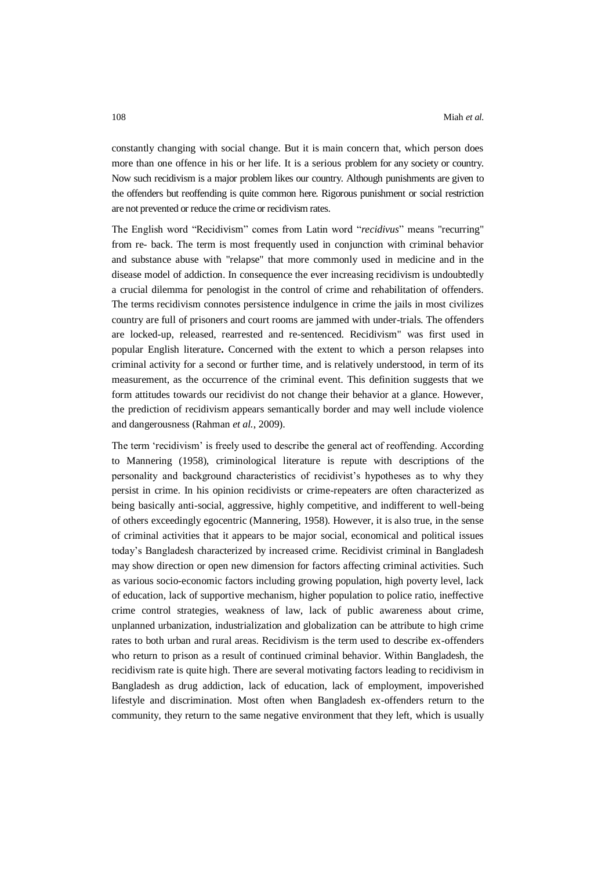constantly changing with social change. But it is main concern that, which person does more than one offence in his or her life. It is a serious problem for any society or country. Now such recidivism is a major problem likes our country. Although punishments are given to the offenders but reoffending is quite common here. Rigorous punishment or social restriction are not prevented or reduce the crime or recidivism rates.

The English word "Recidivism" comes from Latin word "*recidivus*" means "recurring" from re- back. The term is most frequently used in conjunction with criminal behavior and substance abuse with "relapse" that more commonly used in medicine and in the disease model of addiction. In consequence the ever increasing recidivism is undoubtedly a crucial dilemma for penologist in the control of crime and rehabilitation of offenders. The terms recidivism connotes persistence indulgence in crime the jails in most civilizes country are full of prisoners and court rooms are jammed with under-trials. The offenders are locked-up, released, rearrested and re-sentenced. Recidivism" was first used in popular English literature**.** Concerned with the extent to which a person relapses into criminal activity for a second or further time, and is relatively understood, in term of its measurement, as the occurrence of the criminal event. This definition suggests that we form attitudes towards our recidivist do not change their behavior at a glance. However, the prediction of recidivism appears semantically border and may well include violence and dangerousness (Rahman *et al.*, 2009).

The term 'recidivism' is freely used to describe the general act of reoffending. According to Mannering (1958), criminological literature is repute with descriptions of the personality and background characteristics of recidivist's hypotheses as to why they persist in crime. In his opinion recidivists or crime-repeaters are often characterized as being basically anti-social, aggressive, highly competitive, and indifferent to well-being of others exceedingly egocentric (Mannering, 1958). However, it is also true, in the sense of criminal activities that it appears to be major social, economical and political issues today's Bangladesh characterized by increased crime. Recidivist criminal in Bangladesh may show direction or open new dimension for factors affecting criminal activities. Such as various socio-economic factors including growing population, high poverty level, lack of education, lack of supportive mechanism, higher population to police ratio, ineffective crime control strategies, weakness of law, lack of public awareness about crime, unplanned urbanization, industrialization and globalization can be attribute to high crime rates to both urban and rural areas. Recidivism is the term used to describe ex-offenders who return to prison as a result of continued criminal behavior. Within Bangladesh, the recidivism rate is quite high. There are several motivating factors leading to recidivism in Bangladesh as drug addiction, lack of education, lack of employment, impoverished lifestyle and discrimination. Most often when Bangladesh ex-offenders return to the community, they return to the same negative environment that they left, which is usually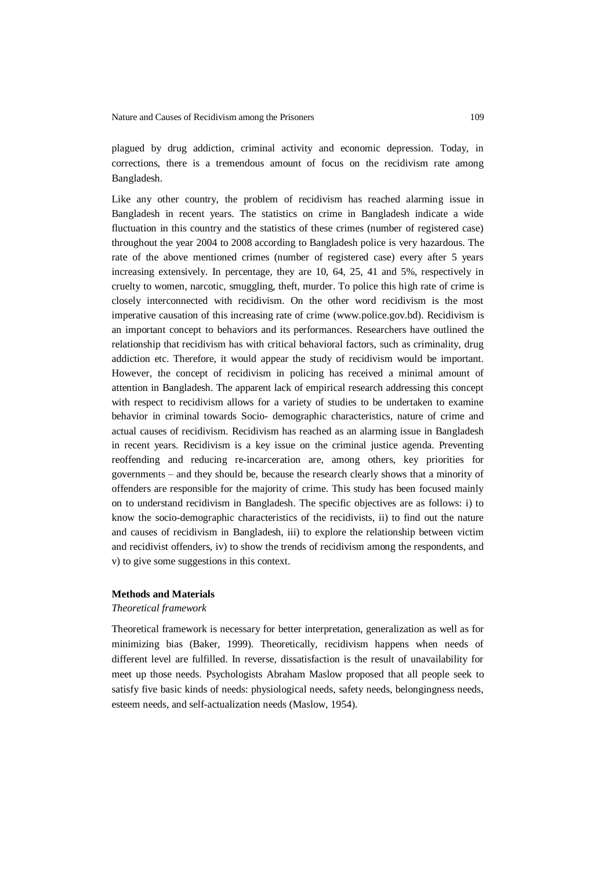plagued by drug addiction, criminal activity and economic depression. Today, in corrections, there is a tremendous amount of focus on the recidivism rate among Bangladesh.

Like any other country, the problem of recidivism has reached alarming issue in Bangladesh in recent years. The statistics on crime in Bangladesh indicate a wide fluctuation in this country and the statistics of these crimes (number of registered case) throughout the year 2004 to 2008 according to Bangladesh police is very hazardous. The rate of the above mentioned crimes (number of registered case) every after 5 years increasing extensively. In percentage, they are 10, 64, 25, 41 and 5%, respectively in cruelty to women, narcotic, smuggling, theft, murder. To police this high rate of crime is closely interconnected with recidivism. On the other word recidivism is the most imperative causation of this increasing rate of crime [\(www.police.gov.bd\)](http://www.police.gov.bd/). Recidivism is an important concept to behaviors and its performances. Researchers have outlined the relationship that recidivism has with critical behavioral factors, such as criminality, drug addiction etc. Therefore, it would appear the study of recidivism would be important. However, the concept of recidivism in policing has received a minimal amount of attention in Bangladesh. The apparent lack of empirical research addressing this concept with respect to recidivism allows for a variety of studies to be undertaken to examine behavior in criminal towards Socio- demographic characteristics, nature of crime and actual causes of recidivism. Recidivism has reached as an alarming issue in Bangladesh in recent years. Recidivism is a key issue on the criminal justice agenda. Preventing reoffending and reducing re-incarceration are, among others, key priorities for governments – and they should be, because the research clearly shows that a minority of offenders are responsible for the majority of crime. This study has been focused mainly on to understand recidivism in Bangladesh. The specific objectives are as follows: i) to know the socio-demographic characteristics of the recidivists, ii) to find out the nature and causes of recidivism in Bangladesh, iii) to explore the relationship between victim and recidivist offenders, iv) to show the trends of recidivism among the respondents, and v) to give some suggestions in this context.

### **Methods and Materials**

### *Theoretical framework*

Theoretical framework is necessary for better interpretation, generalization as well as for minimizing bias (Baker, 1999). Theoretically, recidivism happens when needs of different level are fulfilled. In reverse, dissatisfaction is the result of unavailability for meet up those needs. Psychologists Abraham Maslow proposed that all people seek to satisfy five basic kinds of needs: physiological needs, safety needs, belongingness needs, esteem needs, and self-actualization needs (Maslow, 1954).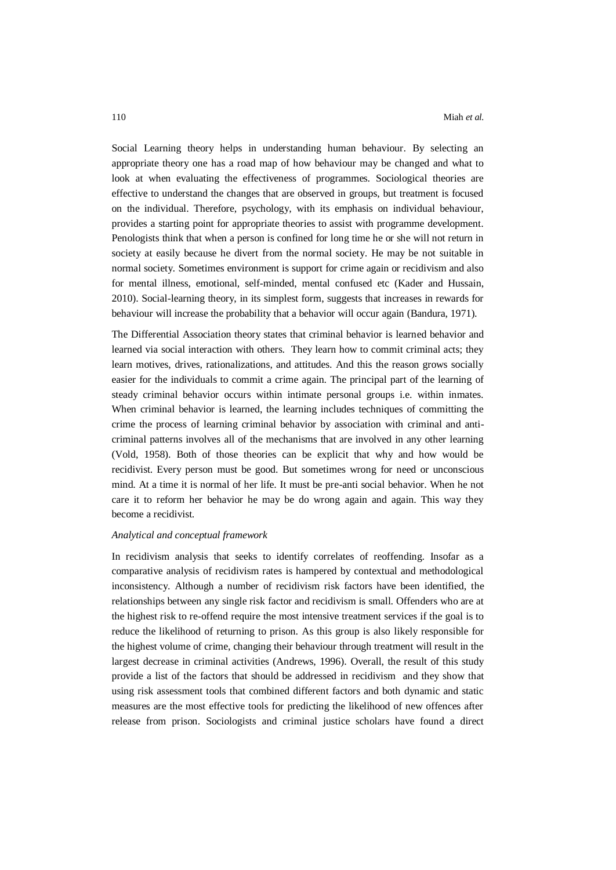Social Learning theory helps in understanding human behaviour. By selecting an appropriate theory one has a road map of how behaviour may be changed and what to look at when evaluating the effectiveness of programmes. Sociological theories are effective to understand the changes that are observed in groups, but treatment is focused on the individual. Therefore, psychology, with its emphasis on individual behaviour, provides a starting point for appropriate theories to assist with programme development. Penologists think that when a person is confined for long time he or she will not return in society at easily because he divert from the normal society. He may be not suitable in normal society. Sometimes environment is support for crime again or recidivism and also for mental illness, emotional, self-minded, mental confused etc (Kader and Hussain, 2010). Social-learning theory, in its simplest form, suggests that increases in rewards for behaviour will increase the probability that a behavior will occur again (Bandura, 1971).

The Differential Association theory states that criminal behavior is learned behavior and learned via social interaction with others. They learn how to commit criminal acts; they learn motives, drives, rationalizations, and attitudes. And this the reason grows socially easier for the individuals to commit a crime again. The principal part of the learning of steady criminal behavior occurs within intimate personal groups i.e. within inmates. When criminal behavior is learned, the learning includes techniques of committing the crime the process of learning criminal behavior by association with criminal and anticriminal patterns involves all of the mechanisms that are involved in any other learning (Vold, 1958). Both of those theories can be explicit that why and how would be recidivist. Every person must be good. But sometimes wrong for need or unconscious mind. At a time it is normal of her life. It must be pre-anti social behavior. When he not care it to reform her behavior he may be do wrong again and again. This way they become a recidivist.

#### *Analytical and conceptual framework*

In recidivism analysis that seeks to identify correlates of reoffending. Insofar as a comparative analysis of recidivism rates is hampered by contextual and methodological inconsistency. Although a number of recidivism risk factors have been identified, the relationships between any single risk factor and recidivism is small. Offenders who are at the highest risk to re-offend require the most intensive treatment services if the goal is to reduce the likelihood of returning to prison. As this group is also likely responsible for the highest volume of crime, changing their behaviour through treatment will result in the largest decrease in criminal activities (Andrews, 1996). Overall, the result of this study provide a list of the factors that should be addressed in recidivism and they show that using risk assessment tools that combined different factors and both dynamic and static measures are the most effective tools for predicting the likelihood of new offences after release from prison. Sociologists and criminal justice scholars have found a direct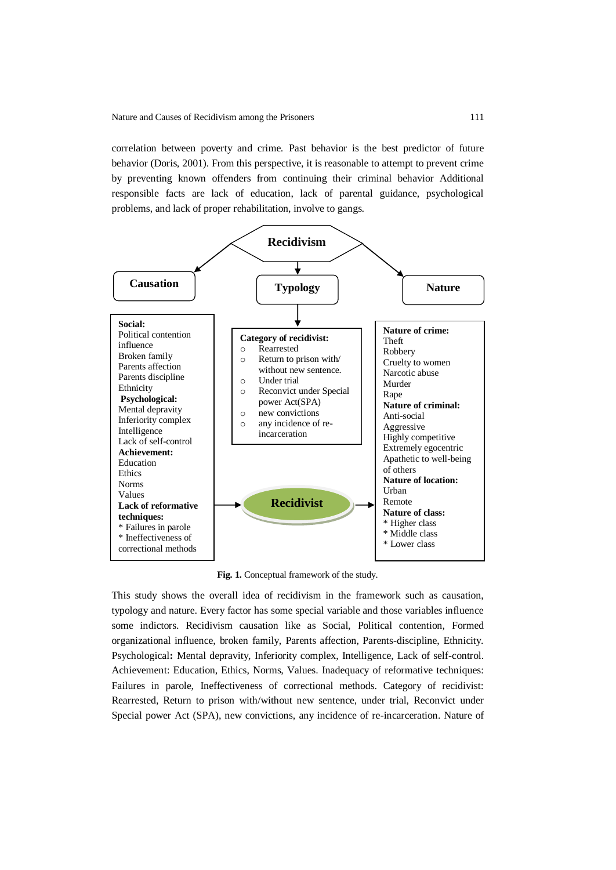correlation between poverty and crime. Past behavior is the best predictor of future behavior (Doris, 2001). From this perspective, it is reasonable to attempt to prevent crime by preventing known offenders from continuing their criminal behavior Additional responsible facts are lack of education, lack of parental guidance, psychological problems, and lack of proper rehabilitation, involve to gangs.



**Fig. 1.** Conceptual framework of the study.

This study shows the overall idea of recidivism in the framework such as causation, typology and nature. Every factor has some special variable and those variables influence some indictors. Recidivism causation like as Social, Political contention, Formed organizational influence, broken family, Parents affection, Parents-discipline, Ethnicity. Psychological**:** Mental depravity, Inferiority complex, Intelligence, Lack of self-control. Achievement: Education, Ethics, Norms, Values. Inadequacy of reformative techniques: Failures in parole, Ineffectiveness of correctional methods. Category of recidivist: Rearrested, Return to prison with/without new sentence, under trial, Reconvict under Special power Act (SPA), new convictions, any incidence of re-incarceration. Nature of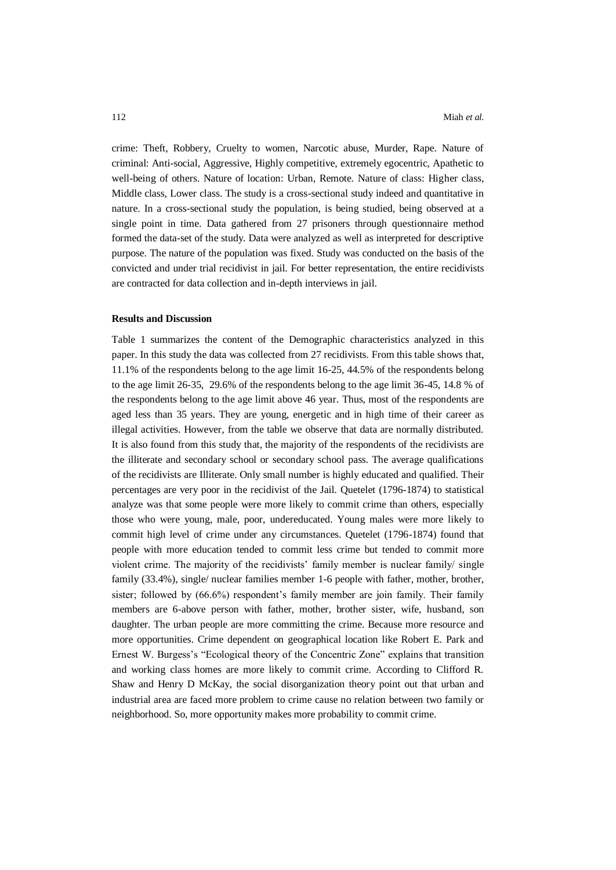crime: Theft, Robbery, Cruelty to women, Narcotic abuse, Murder, Rape. Nature of criminal: Anti-social, Aggressive, Highly competitive, extremely egocentric, Apathetic to well-being of others. Nature of location: Urban, Remote. Nature of class: Higher class, Middle class, Lower class. The study is a cross-sectional study indeed and quantitative in nature. In a cross-sectional study the population, is being studied, being observed at a single point in time. Data gathered from 27 prisoners through questionnaire method formed the data-set of the study. Data were analyzed as well as interpreted for descriptive purpose. The nature of the population was fixed. Study was conducted on the basis of the convicted and under trial recidivist in jail. For better representation, the entire recidivists are contracted for data collection and in-depth interviews in jail.

### **Results and Discussion**

Table 1 summarizes the content of the Demographic characteristics analyzed in this paper. In this study the data was collected from 27 recidivists. From this table shows that, 11.1% of the respondents belong to the age limit 16-25, 44.5% of the respondents belong to the age limit 26-35, 29.6% of the respondents belong to the age limit 36-45, 14.8 % of the respondents belong to the age limit above 46 year. Thus, most of the respondents are aged less than 35 years. They are young, energetic and in high time of their career as illegal activities. However, from the table we observe that data are normally distributed. It is also found from this study that, the majority of the respondents of the recidivists are the illiterate and secondary school or secondary school pass. The average qualifications of the recidivists are Illiterate. Only small number is highly educated and qualified. Their percentages are very poor in the recidivist of the Jail. Quetelet (1796-1874) to statistical analyze was that some people were more likely to commit crime than others, especially those who were young, male, poor, undereducated. Young males were more likely to commit high level of crime under any circumstances. Quetelet (1796-1874) found that people with more education tended to commit less crime but tended to commit more violent crime. The majority of the recidivists' family member is nuclear family/ single family (33.4%), single/ nuclear families member 1-6 people with father, mother, brother, sister; followed by (66.6%) respondent's family member are join family. Their family members are 6-above person with father, mother, brother sister, wife, husband, son daughter. The urban people are more committing the crime. Because more resource and more opportunities. Crime dependent on geographical location like Robert E. Park and Ernest W. Burgess's "Ecological theory of the Concentric Zone" explains that transition and working class homes are more likely to commit crime. According to Clifford R. Shaw and Henry D McKay, the social disorganization theory point out that urban and industrial area are faced more problem to crime cause no relation between two family or neighborhood. So, more opportunity makes more probability to commit crime.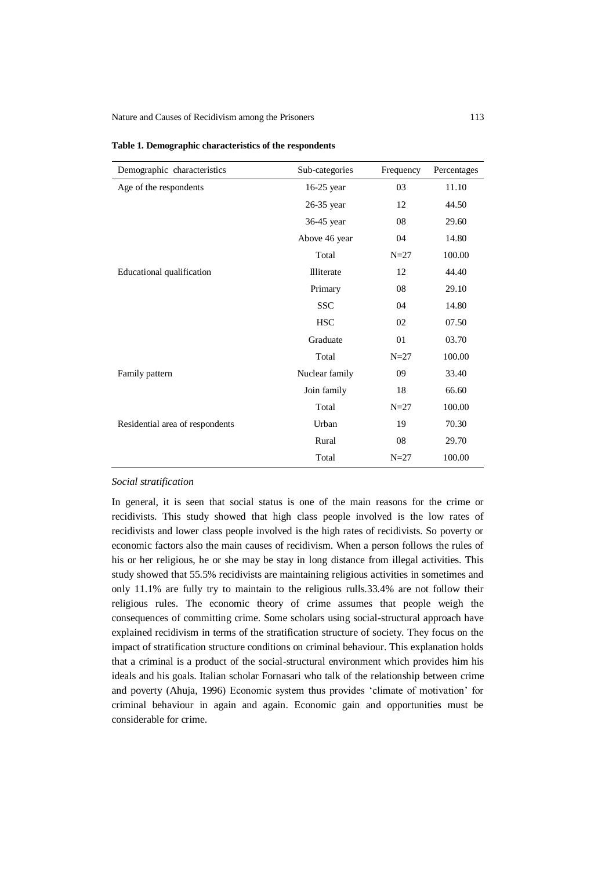| Demographic characteristics     | Sub-categories | Frequency | Percentages |
|---------------------------------|----------------|-----------|-------------|
| Age of the respondents          | 16-25 year     | 03        | 11.10       |
|                                 | 26-35 year     | 12        | 44.50       |
|                                 | 36-45 year     | 08        | 29.60       |
|                                 | Above 46 year  | 04        | 14.80       |
|                                 | Total          | $N=27$    | 100.00      |
| Educational qualification       | Illiterate     | 12        | 44.40       |
|                                 | Primary        | 08        | 29.10       |
|                                 | <b>SSC</b>     | 04        | 14.80       |
|                                 | <b>HSC</b>     | 02        | 07.50       |
|                                 | Graduate       | 01        | 03.70       |
|                                 | Total          | $N=27$    | 100.00      |
| Family pattern                  | Nuclear family | 09        | 33.40       |
|                                 | Join family    | 18        | 66.60       |
|                                 | Total          | $N=27$    | 100.00      |
| Residential area of respondents | Urban          | 19        | 70.30       |
|                                 | Rural          | 08        | 29.70       |
|                                 | Total          | $N=27$    | 100.00      |

| Table 1. Demographic characteristics of the respondents |
|---------------------------------------------------------|
|---------------------------------------------------------|

# *Social stratification*

In general, it is seen that social status is one of the main reasons for the crime or recidivists. This study showed that high class people involved is the low rates of recidivists and lower class people involved is the high rates of recidivists. So poverty or economic factors also the main causes of recidivism. When a person follows the rules of his or her religious, he or she may be stay in long distance from illegal activities. This study showed that 55.5% recidivists are maintaining religious activities in sometimes and only 11.1% are fully try to maintain to the religious rulls.33.4% are not follow their religious rules. The economic theory of crime assumes that people weigh the consequences of committing crime. Some scholars using social-structural approach have explained recidivism in terms of the stratification structure of society. They focus on the impact of stratification structure conditions on criminal behaviour. This explanation holds that a criminal is a product of the social-structural environment which provides him his ideals and his goals. Italian scholar Fornasari who talk of the relationship between crime and poverty (Ahuja, 1996) Economic system thus provides 'climate of motivation' for criminal behaviour in again and again. Economic gain and opportunities must be considerable for crime.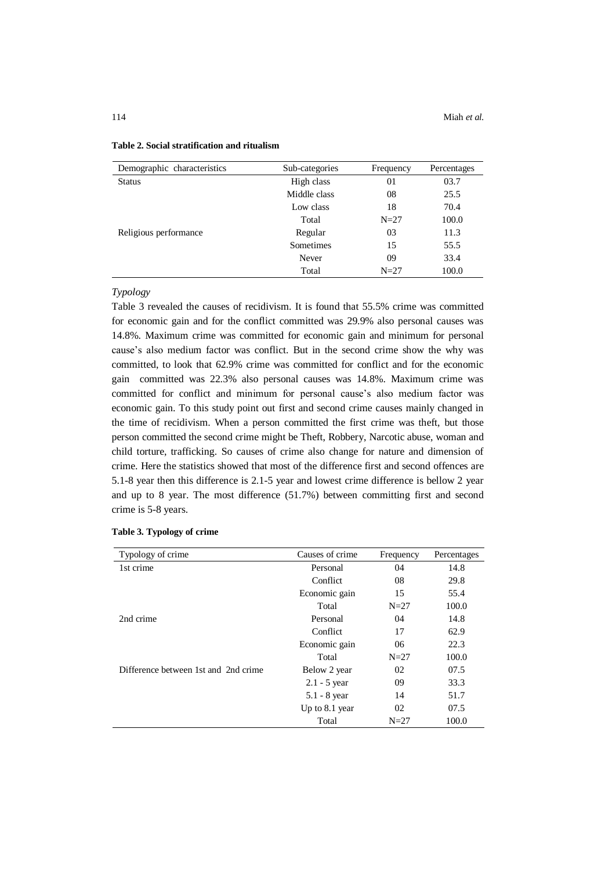| Demographic characteristics | Sub-categories | Frequency | Percentages |
|-----------------------------|----------------|-----------|-------------|
| <b>Status</b>               | High class     | 01        | 03.7        |
|                             | Middle class   | 08        | 25.5        |
|                             | Low class      | 18        | 70.4        |
|                             | Total          | $N=27$    | 100.0       |
| Religious performance       | Regular        | 03        | 11.3        |
|                             | Sometimes      | 15        | 55.5        |
|                             | Never          | 09        | 33.4        |
|                             | Total          | $N=27$    | 100.0       |

### **Table 2. Social stratification and ritualism**

### *Typology*

Table 3 revealed the causes of recidivism. It is found that 55.5% crime was committed for economic gain and for the conflict committed was 29.9% also personal causes was 14.8%. Maximum crime was committed for economic gain and minimum for personal cause's also medium factor was conflict. But in the second crime show the why was committed, to look that 62.9% crime was committed for conflict and for the economic gain committed was 22.3% also personal causes was 14.8%. Maximum crime was committed for conflict and minimum for personal cause's also medium factor was economic gain. To this study point out first and second crime causes mainly changed in the time of recidivism. When a person committed the first crime was theft, but those person committed the second crime might be Theft, Robbery, Narcotic abuse, woman and child torture, trafficking. So causes of crime also change for nature and dimension of crime. Here the statistics showed that most of the difference first and second offences are 5.1-8 year then this difference is 2.1-5 year and lowest crime difference is bellow 2 year and up to 8 year. The most difference (51.7%) between committing first and second crime is 5-8 years.

| Typology of crime                    | Causes of crime | Frequency | Percentages |
|--------------------------------------|-----------------|-----------|-------------|
| 1st crime                            | Personal        | 04        | 14.8        |
|                                      | Conflict        | 08        | 29.8        |
|                                      | Economic gain   | 15        | 55.4        |
|                                      | Total           | $N=27$    | 100.0       |
| 2nd crime                            | Personal        | 04        | 14.8        |
|                                      | Conflict        | 17        | 62.9        |
|                                      | Economic gain   | 06        | 22.3        |
|                                      | Total           | $N=27$    | 100.0       |
| Difference between 1st and 2nd crime | Below 2 year    | 02        | 07.5        |
|                                      | $2.1 - 5$ year  | 09        | 33.3        |
|                                      | $5.1 - 8$ year  | 14        | 51.7        |
|                                      | Up to 8.1 year  | 02        | 07.5        |
|                                      | Total           | $N=27$    | 100.0       |

#### **Table 3. Typology of crime**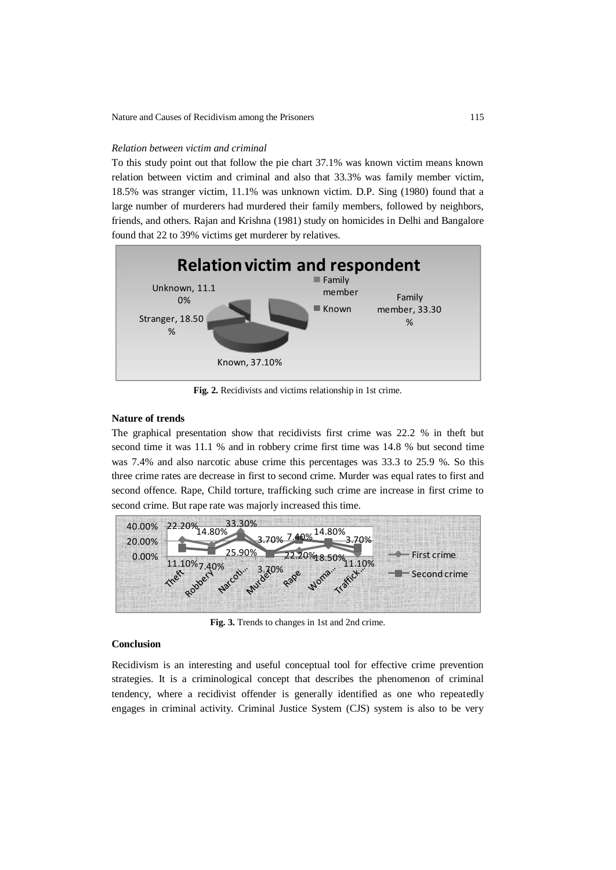### *Relation between victim and criminal*

To this study point out that follow the pie chart 37.1% was known victim means known relation between victim and criminal and also that 33.3% was family member victim, 18.5% was stranger victim, 11.1% was unknown victim. D.P. Sing (1980) found that a large number of murderers had murdered their family members, followed by neighbors, friends, and others. Rajan and Krishna (1981) study on homicides in Delhi and Bangalore found that 22 to 39% victims get murderer by relatives.



**Fig. 2.** Recidivists and victims relationship in 1st crime.

### **Nature of trends**

The graphical presentation show that recidivists first crime was 22.2 % in theft but second time it was 11.1 % and in robbery crime first time was 14.8 % but second time was 7.4% and also narcotic abuse crime this percentages was 33.3 to 25.9 %. So this three crime rates are decrease in first to second crime. Murder was equal rates to first and second offence. Rape, Child torture, trafficking such crime are increase in first crime to second crime. But rape rate was majorly increased this time.



**Fig. 3.** Trends to changes in 1st and 2nd crime.

# **Conclusion**

Recidivism is an interesting and useful conceptual tool for effective crime prevention strategies. It is a criminological concept that describes the phenomenon of criminal tendency, where a recidivist offender is generally identified as one who repeatedly engages in criminal activity. Criminal Justice System (CJS) system is also to be very